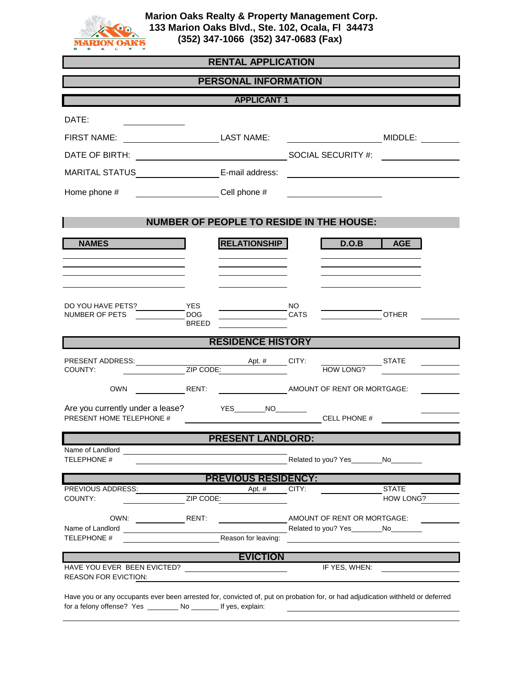

 **Marion Oaks Realty & Property Management Corp. 133 Marion Oaks Blvd., Ste. 102, Ocala, Fl 34473 (352) 347-1066 (352) 347-0683 (Fax)** 

| <b>RENTAL APPLICATION</b>                               |                          |                                                         |                   |                                          |                           |  |  |  |  |  |  |
|---------------------------------------------------------|--------------------------|---------------------------------------------------------|-------------------|------------------------------------------|---------------------------|--|--|--|--|--|--|
| <b>PERSONAL INFORMATION</b>                             |                          |                                                         |                   |                                          |                           |  |  |  |  |  |  |
| <b>APPLICANT 1</b>                                      |                          |                                                         |                   |                                          |                           |  |  |  |  |  |  |
| DATE:                                                   |                          |                                                         |                   |                                          |                           |  |  |  |  |  |  |
| LAST NAME:<br><b>FIRST NAME:</b>                        |                          |                                                         |                   |                                          |                           |  |  |  |  |  |  |
| DATE OF BIRTH:                                          |                          | <u> 1980 - Johann Barnett, fransk politik (f. 1980)</u> |                   | SOCIAL SECURITY #:                       |                           |  |  |  |  |  |  |
| MARITAL STATUS E-mail address:                          |                          |                                                         |                   |                                          |                           |  |  |  |  |  |  |
| Cell phone #<br>Home phone #                            |                          |                                                         |                   |                                          |                           |  |  |  |  |  |  |
| <b>NUMBER OF PEOPLE TO RESIDE IN THE HOUSE:</b>         |                          |                                                         |                   |                                          |                           |  |  |  |  |  |  |
| <b>NAMES</b>                                            |                          | <b>RELATIONSHIP</b>                                     |                   | D.O.B                                    | <b>AGE</b>                |  |  |  |  |  |  |
|                                                         |                          |                                                         |                   |                                          |                           |  |  |  |  |  |  |
|                                                         |                          |                                                         |                   |                                          |                           |  |  |  |  |  |  |
|                                                         |                          |                                                         |                   |                                          |                           |  |  |  |  |  |  |
| DO YOU HAVE PETS?<br>NUMBER OF PETS                     | <b>YES</b><br><b>DOG</b> |                                                         | NO<br><b>CATS</b> |                                          | <b>OTHER</b>              |  |  |  |  |  |  |
|                                                         | <b>BREED</b>             |                                                         |                   |                                          |                           |  |  |  |  |  |  |
| <b>RESIDENCE HISTORY</b>                                |                          |                                                         |                   |                                          |                           |  |  |  |  |  |  |
| PRESENT ADDRESS: ____________<br>COUNTY:                | ZIP CODE:                | Apt. # CITY:                                            |                   | <b>HOW LONG?</b>                         | <b>STATE</b>              |  |  |  |  |  |  |
| OWN RENT:                                               |                          |                                                         |                   | AMOUNT OF RENT OR MORTGAGE:              |                           |  |  |  |  |  |  |
| Are you currently under a lease? YES_________NO________ |                          |                                                         |                   |                                          |                           |  |  |  |  |  |  |
| PRESENT HOME TELEPHONE #                                |                          |                                                         |                   | <b>CELL PHONE #</b>                      |                           |  |  |  |  |  |  |
| <b>PRESENT LANDLORD:</b>                                |                          |                                                         |                   |                                          |                           |  |  |  |  |  |  |
| Name of Landlord<br><b>TELEPHONE #</b>                  |                          |                                                         |                   | Related to you? Yes _________No_________ |                           |  |  |  |  |  |  |
|                                                         |                          | <b>PREVIOUS RESIDENCY:</b>                              |                   |                                          |                           |  |  |  |  |  |  |
| PREVIOUS ADDRESS:<br>COUNTY:                            | ZIP CODE:                | Apt. $#$                                                | CITY:             |                                          | <b>STATE</b><br>HOW LONG? |  |  |  |  |  |  |
| OWN:<br><b>Example 2018</b> RENT:                       |                          |                                                         |                   | AMOUNT OF RENT OR MORTGAGE:              |                           |  |  |  |  |  |  |
| Name of Landlord<br><b>TELEPHONE #</b>                  |                          | Reason for leaving:                                     |                   | Related to you? Yes No                   |                           |  |  |  |  |  |  |
|                                                         |                          |                                                         |                   |                                          |                           |  |  |  |  |  |  |
|                                                         |                          | <b>EVICTION</b>                                         |                   | IF YES, WHEN:                            |                           |  |  |  |  |  |  |
| HAVE YOU EVER BEEN EVICTED?                             |                          |                                                         |                   |                                          |                           |  |  |  |  |  |  |
| <b>REASON FOR EVICTION:</b>                             |                          |                                                         |                   |                                          |                           |  |  |  |  |  |  |